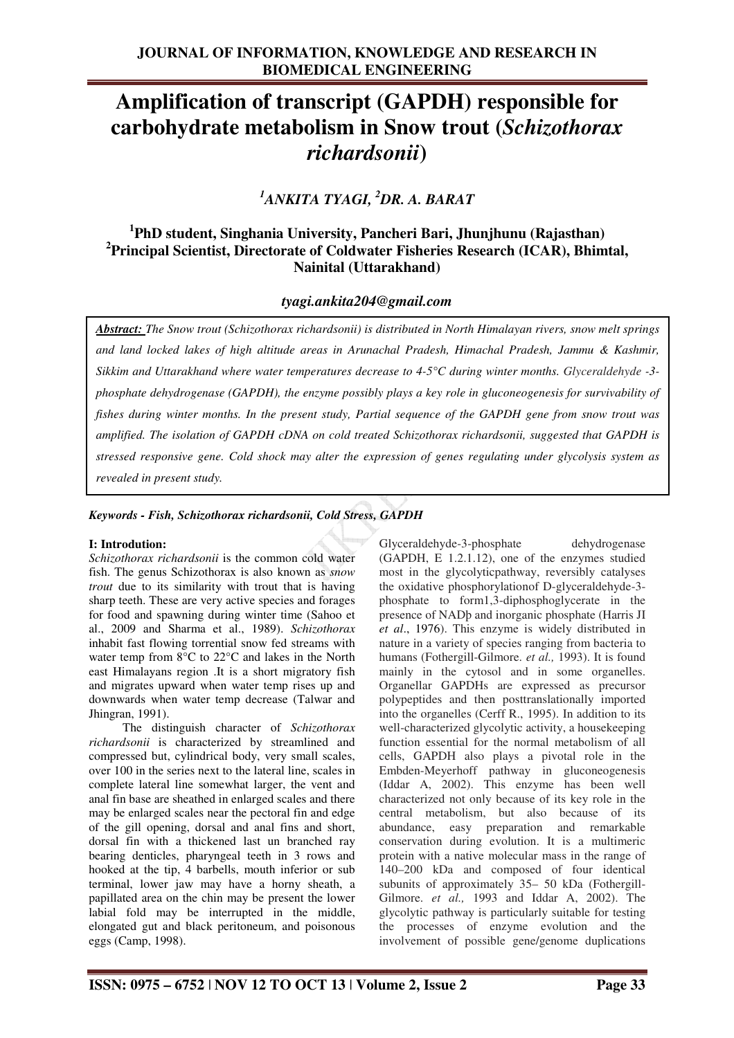# **Amplification of transcript (GAPDH) responsible for carbohydrate metabolism in Snow trout (***Schizothorax richardsonii***)**

*<sup>1</sup>ANKITA TYAGI, <sup>2</sup>DR. A. BARAT* 

## **1 PhD student, Singhania University, Pancheri Bari, Jhunjhunu (Rajasthan) 2 Principal Scientist, Directorate of Coldwater Fisheries Research (ICAR), Bhimtal, Nainital (Uttarakhand)**

## *tyagi.ankita204@gmail.com*

*Abstract: The Snow trout (Schizothorax richardsonii) is distributed in North Himalayan rivers, snow melt springs and land locked lakes of high altitude areas in Arunachal Pradesh, Himachal Pradesh, Jammu & Kashmir, Sikkim and Uttarakhand where water temperatures decrease to 4-5°C during winter months. Glyceraldehyde -3 phosphate dehydrogenase (GAPDH), the enzyme possibly plays a key role in gluconeogenesis for survivability of fishes during winter months. In the present study, Partial sequence of the GAPDH gene from snow trout was amplified. The isolation of GAPDH cDNA on cold treated Schizothorax richardsonii, suggested that GAPDH is stressed responsive gene. Cold shock may alter the expression of genes regulating under glycolysis system as revealed in present study.* 

## *Keywords - Fish, Schizothorax richardsonii, Cold Stress, GAPDH*

#### **I: Introdution:**

*Schizothorax richardsonii* is the common cold water fish. The genus Schizothorax is also known as *snow trout* due to its similarity with trout that is having sharp teeth. These are very active species and forages for food and spawning during winter time (Sahoo et al., 2009 and Sharma et al., 1989). *Schizothorax* inhabit fast flowing torrential snow fed streams with water temp from 8°C to 22°C and lakes in the North east Himalayans region .It is a short migratory fish and migrates upward when water temp rises up and downwards when water temp decrease (Talwar and Jhingran, 1991).

 The distinguish character of *Schizothorax richardsonii* is characterized by streamlined and compressed but, cylindrical body, very small scales, over 100 in the series next to the lateral line, scales in complete lateral line somewhat larger, the vent and anal fin base are sheathed in enlarged scales and there may be enlarged scales near the pectoral fin and edge of the gill opening, dorsal and anal fins and short, dorsal fin with a thickened last un branched ray bearing denticles, pharyngeal teeth in 3 rows and hooked at the tip, 4 barbells, mouth inferior or sub terminal, lower jaw may have a horny sheath, a papillated area on the chin may be present the lower labial fold may be interrupted in the middle, elongated gut and black peritoneum, and poisonous eggs (Camp, 1998).

Glyceraldehyde-3-phosphate dehydrogenase (GAPDH, E 1.2.1.12), one of the enzymes studied most in the glycolyticpathway, reversibly catalyses the oxidative phosphorylationof D-glyceraldehyde-3 phosphate to form1,3-diphosphoglycerate in the presence of NADþ and inorganic phosphate (Harris JI *et al*., 1976). This enzyme is widely distributed in nature in a variety of species ranging from bacteria to humans (Fothergill-Gilmore. *et al.,* 1993). It is found mainly in the cytosol and in some organelles. Organellar GAPDHs are expressed as precursor polypeptides and then posttranslationally imported into the organelles (Cerff R., 1995). In addition to its well-characterized glycolytic activity, a housekeeping function essential for the normal metabolism of all cells, GAPDH also plays a pivotal role in the Embden-Meyerhoff pathway in gluconeogenesis (Iddar A, 2002). This enzyme has been well characterized not only because of its key role in the central metabolism, but also because of its abundance, easy preparation and remarkable conservation during evolution. It is a multimeric protein with a native molecular mass in the range of 140–200 kDa and composed of four identical subunits of approximately 35– 50 kDa (Fothergill-Gilmore. *et al.,* 1993 and Iddar A, 2002). The glycolytic pathway is particularly suitable for testing the processes of enzyme evolution and the involvement of possible gene/genome duplications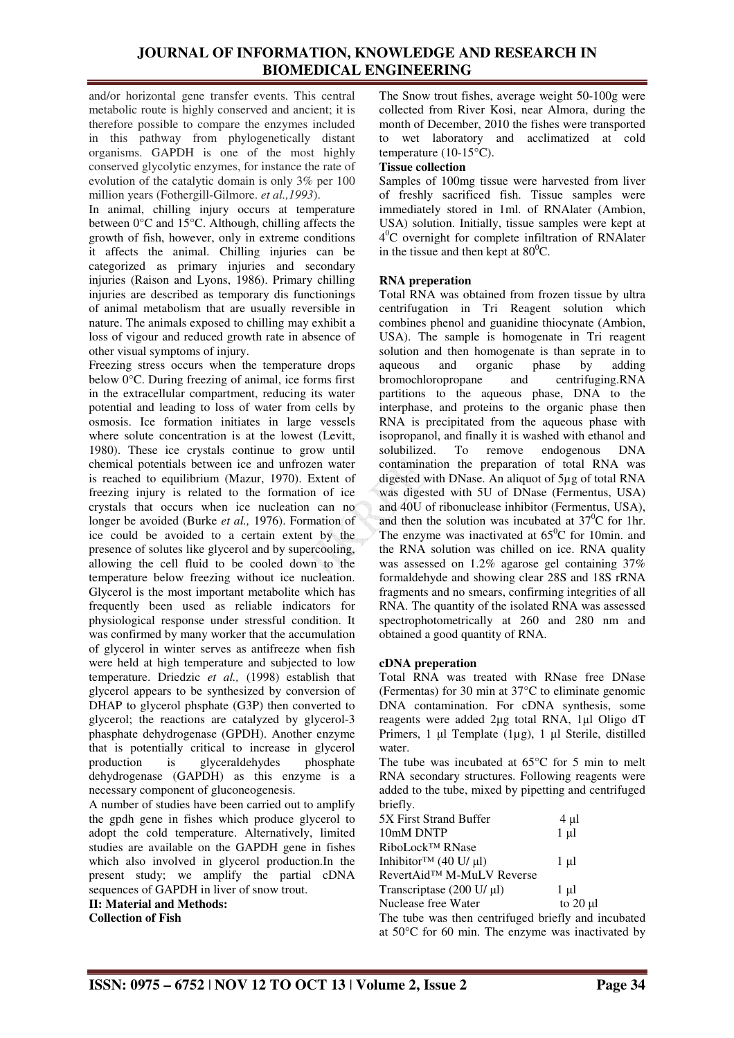and/or horizontal gene transfer events. This central metabolic route is highly conserved and ancient; it is therefore possible to compare the enzymes included in this pathway from phylogenetically distant organisms. GAPDH is one of the most highly conserved glycolytic enzymes, for instance the rate of evolution of the catalytic domain is only 3% per 100 million years (Fothergill-Gilmore. *et al.,1993*).

In animal, chilling injury occurs at temperature between  $0^{\circ}$ C and  $15^{\circ}$ C. Although, chilling affects the growth of fish, however, only in extreme conditions it affects the animal. Chilling injuries can be categorized as primary injuries and secondary injuries (Raison and Lyons, 1986). Primary chilling injuries are described as temporary dis functionings of animal metabolism that are usually reversible in nature. The animals exposed to chilling may exhibit a loss of vigour and reduced growth rate in absence of other visual symptoms of injury.

Freezing stress occurs when the temperature drops below 0°C. During freezing of animal, ice forms first in the extracellular compartment, reducing its water potential and leading to loss of water from cells by osmosis. Ice formation initiates in large vessels where solute concentration is at the lowest (Levitt, 1980). These ice crystals continue to grow until chemical potentials between ice and unfrozen water is reached to equilibrium (Mazur, 1970). Extent of freezing injury is related to the formation of ice crystals that occurs when ice nucleation can no longer be avoided (Burke *et al.,* 1976). Formation of ice could be avoided to a certain extent by the presence of solutes like glycerol and by supercooling, allowing the cell fluid to be cooled down to the temperature below freezing without ice nucleation. Glycerol is the most important metabolite which has frequently been used as reliable indicators for physiological response under stressful condition. It was confirmed by many worker that the accumulation of glycerol in winter serves as antifreeze when fish were held at high temperature and subjected to low temperature. Driedzic *et al.,* (1998) establish that glycerol appears to be synthesized by conversion of DHAP to glycerol phsphate (G3P) then converted to glycerol; the reactions are catalyzed by glycerol-3 phasphate dehydrogenase (GPDH). Another enzyme that is potentially critical to increase in glycerol<br>production is glyceraldehydes phosphate production is glyceraldehydes dehydrogenase (GAPDH) as this enzyme is a necessary component of gluconeogenesis.

A number of studies have been carried out to amplify the gpdh gene in fishes which produce glycerol to adopt the cold temperature. Alternatively, limited studies are available on the GAPDH gene in fishes which also involved in glycerol production.In the present study; we amplify the partial cDNA sequences of GAPDH in liver of snow trout.

**II: Material and Methods: Collection of Fish** 

The Snow trout fishes, average weight 50-100g were collected from River Kosi, near Almora, during the month of December, 2010 the fishes were transported to wet laboratory and acclimatized at cold temperature (10-15°C).

#### **Tissue collection**

Samples of 100mg tissue were harvested from liver of freshly sacrificed fish. Tissue samples were immediately stored in 1ml. of RNAlater (Ambion, USA) solution. Initially, tissue samples were kept at 4 <sup>0</sup>C overnight for complete infiltration of RNAlater in the tissue and then kept at  $80^{\circ}$ C.

#### **RNA preperation**

Total RNA was obtained from frozen tissue by ultra centrifugation in Tri Reagent solution which combines phenol and guanidine thiocynate (Ambion, USA). The sample is homogenate in Tri reagent solution and then homogenate is than seprate in to aqueous and organic phase by adding aqueous and organic phase by adding bromochloropropane and centrifuging.RNA partitions to the aqueous phase, DNA to the interphase, and proteins to the organic phase then RNA is precipitated from the aqueous phase with isopropanol, and finally it is washed with ethanol and solubilized. To remove endogenous DNA contamination the preparation of total RNA was digested with DNase. An aliquot of 5µg of total RNA was digested with 5U of DNase (Fermentus, USA) and 40U of ribonuclease inhibitor (Fermentus, USA), and then the solution was incubated at  $37^{\circ}$ C for 1hr. The enzyme was inactivated at  $65^{\circ}$ C for 10min. and the RNA solution was chilled on ice. RNA quality was assessed on 1.2% agarose gel containing 37% formaldehyde and showing clear 28S and 18S rRNA fragments and no smears, confirming integrities of all RNA. The quantity of the isolated RNA was assessed spectrophotometrically at 260 and 280 nm and obtained a good quantity of RNA.

#### **cDNA preperation**

Total RNA was treated with RNase free DNase (Fermentas) for 30 min at 37°C to eliminate genomic DNA contamination. For cDNA synthesis, some reagents were added 2µg total RNA, 1µl Oligo dT Primers, 1 µl Template (1µg), 1 µl Sterile, distilled water.

The tube was incubated at 65°C for 5 min to melt RNA secondary structures. Following reagents were added to the tube, mixed by pipetting and centrifuged briefly.

| 5X First Strand Buffer                      | 4 µl          |
|---------------------------------------------|---------------|
| 10mM DNTP                                   | $1 \mu l$     |
| RiboLock <sup>™</sup> RNase                 |               |
| Inhibitor <sup>TM</sup> (40 U/ $\mu$ I)     | $1 \mu l$     |
| RevertAid™ M-MuLV Reverse                   |               |
| Transcriptase (200 U/ µl)                   | $1 \mu l$     |
| Nuclease free Water                         | to $20 \mu l$ |
| The tube wee then contrificeed briefly and: |               |

The tube was then centrifuged briefly and incubated at 50°C for 60 min. The enzyme was inactivated by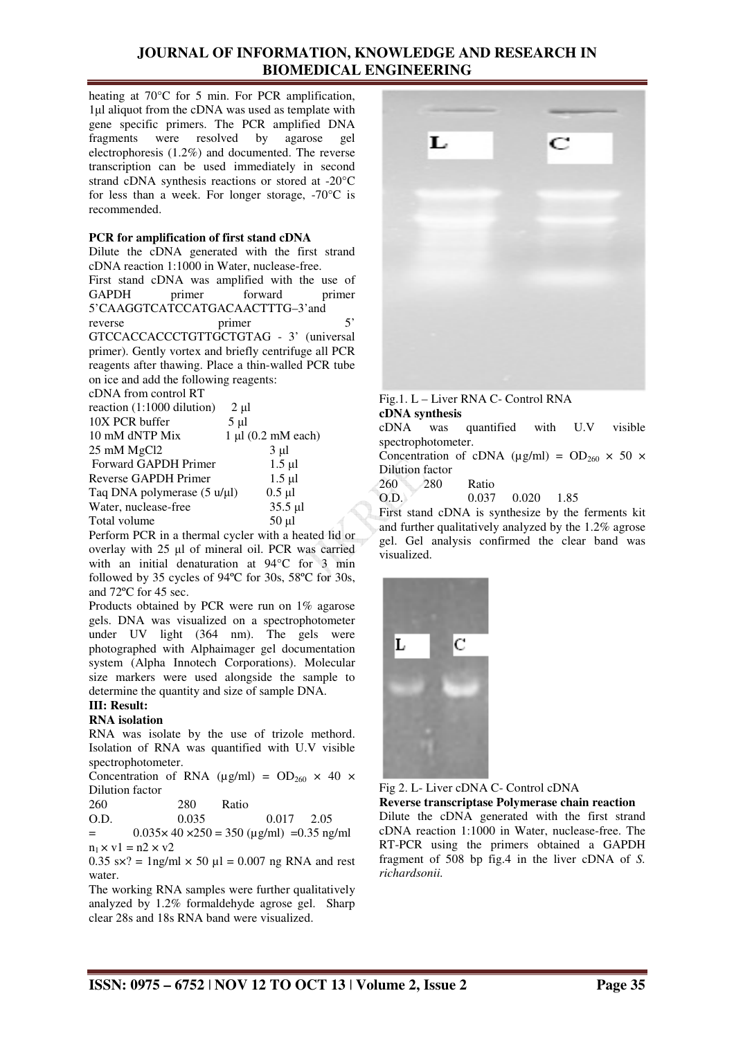heating at 70°C for 5 min. For PCR amplification, 1µl aliquot from the cDNA was used as template with gene specific primers. The PCR amplified DNA fragments were resolved by agarose gel electrophoresis (1.2%) and documented. The reverse transcription can be used immediately in second strand cDNA synthesis reactions or stored at -20°C for less than a week. For longer storage, -70°C is recommended.

#### **PCR for amplification of first stand cDNA**

Dilute the cDNA generated with the first strand cDNA reaction 1:1000 in Water, nuclease-free.

First stand cDNA was amplified with the use of GAPDH primer forward primer 5'CAAGGTCATCCATGACAACTTTG–3'and reverse primer 5' GTCCACCACCCTGTTGCTGTAG - 3' (universal primer). Gently vortex and briefly centrifuge all PCR reagents after thawing. Place a thin-walled PCR tube on ice and add the following reagents:

| $2 \mu l$                                                     |
|---------------------------------------------------------------|
| $5 \mu l$                                                     |
| $1 \mu l$ (0.2 mM each)                                       |
| $3 \mu l$                                                     |
| $1.5 \mu$ l                                                   |
| $1.5 \mu$ l                                                   |
| $0.5 \mu l$<br>Taq DNA polymerase $(5 \text{ u/}\mu\text{l})$ |
| $35.5 \mu l$                                                  |
| $50 \mu$ l                                                    |
|                                                               |

Perform PCR in a thermal cycler with a heated lid or overlay with 25 µl of mineral oil. PCR was carried with an initial denaturation at 94°C for 3 min followed by 35 cycles of 94ºC for 30s, 58ºC for 30s, and 72ºC for 45 sec.

Products obtained by PCR were run on 1% agarose gels. DNA was visualized on a spectrophotometer under UV light (364 nm). The gels were photographed with Alphaimager gel documentation system (Alpha Innotech Corporations). Molecular size markers were used alongside the sample to determine the quantity and size of sample DNA.

#### **III: Result:**

#### **RNA isolation**

RNA was isolate by the use of trizole methord. Isolation of RNA was quantified with U.V visible spectrophotometer.

Concentration of RNA ( $\mu$ g/ml) = OD<sub>260</sub> × 40 × Dilution factor

| 260           | 280                  | Ratio |
|---------------|----------------------|-------|
| $\sim$ $\sim$ | $\sim$ $\sim$ $\sim$ |       |

| O.D. | 0.035 |  |         | $0.017$ 2.05 |  |  |  |
|------|-------|--|---------|--------------|--|--|--|
|      |       |  | $- - -$ | $- - -$      |  |  |  |

 $=$  0.035 $\times$  40  $\times$ 250 = 350 ( $\mu$ g/ml) = 0.35 ng/ml  $n_1 \times v1 = n2 \times v2$ 

 $0.35$  s $\times$ ? = 1ng/ml  $\times$  50 ul = 0.007 ng RNA and rest water.

The working RNA samples were further qualitatively analyzed by 1.2% formaldehyde agrose gel. Sharp clear 28s and 18s RNA band were visualized.



Fig.1. L – Liver RNA C- Control RNA **cDNA synthesis** 

cDNA was quantified with U.V visible spectrophotometer.

Concentration of cDNA ( $\mu$ g/ml) = OD<sub>260</sub> × 50 × Dilution factor

260 280 Ratio

O.D. 0.037 0.020 1.85

First stand cDNA is synthesize by the ferments kit and further qualitatively analyzed by the 1.2% agrose gel. Gel analysis confirmed the clear band was visualized.



Fig 2. L- Liver cDNA C- Control cDNA

**Reverse transcriptase Polymerase chain reaction**  Dilute the cDNA generated with the first strand cDNA reaction 1:1000 in Water, nuclease-free. The RT-PCR using the primers obtained a GAPDH fragment of 508 bp fig.4 in the liver cDNA of *S. richardsonii.*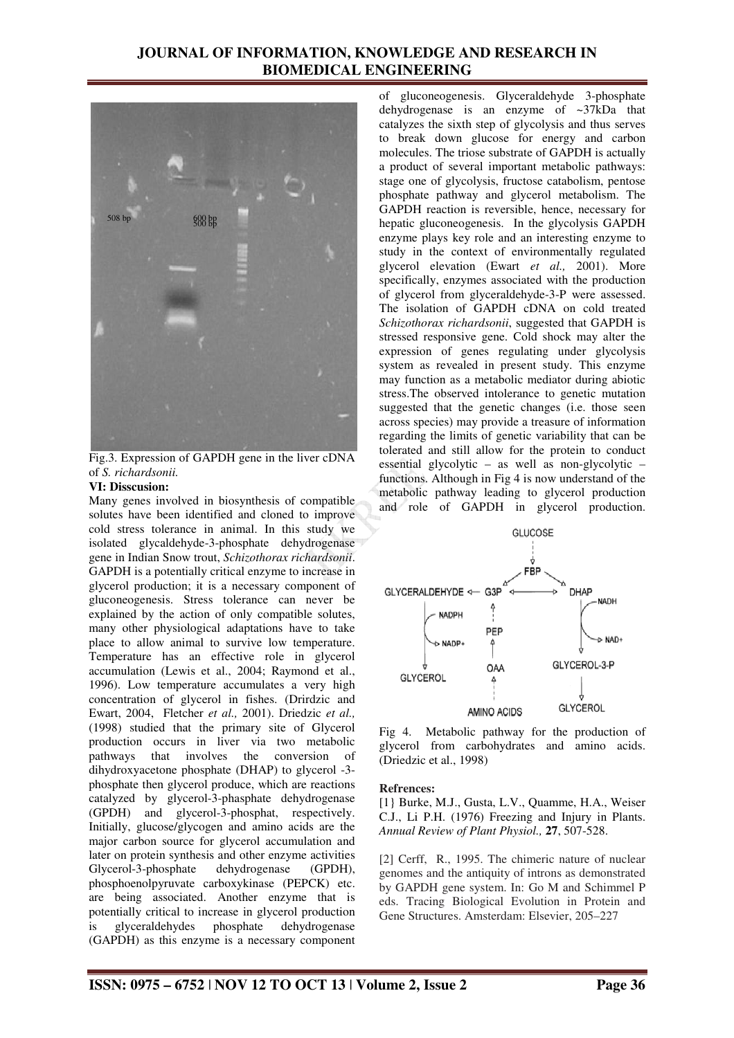

Fig.3. Expression of GAPDH gene in the liver cDNA of *S. richardsonii.* 

#### **VI: Disscusion:**

Many genes involved in biosynthesis of compatible solutes have been identified and cloned to improve cold stress tolerance in animal. In this study we isolated glycaldehyde-3-phosphate dehydrogenase gene in Indian Snow trout, *Schizothorax richardsonii*. GAPDH is a potentially critical enzyme to increase in glycerol production; it is a necessary component of gluconeogenesis. Stress tolerance can never be explained by the action of only compatible solutes, many other physiological adaptations have to take place to allow animal to survive low temperature. Temperature has an effective role in glycerol accumulation (Lewis et al., 2004; Raymond et al., 1996). Low temperature accumulates a very high concentration of glycerol in fishes. (Drirdzic and Ewart, 2004, Fletcher *et al.,* 2001). Driedzic *et al.,* (1998) studied that the primary site of Glycerol production occurs in liver via two metabolic pathways that involves the conversion of dihydroxyacetone phosphate (DHAP) to glycerol -3 phosphate then glycerol produce, which are reactions catalyzed by glycerol-3-phasphate dehydrogenase (GPDH) and glycerol-3-phosphat, respectively. Initially, glucose/glycogen and amino acids are the major carbon source for glycerol accumulation and later on protein synthesis and other enzyme activities<br>Glycerol-3-phosphate dehydrogenase (GPDH), Glycerol-3-phosphate dehydrogenase (GPDH), phosphoenolpyruvate carboxykinase (PEPCK) etc. are being associated. Another enzyme that is potentially critical to increase in glycerol production is glyceraldehydes phosphate dehydrogenase (GAPDH) as this enzyme is a necessary component

of gluconeogenesis. Glyceraldehyde 3-phosphate dehydrogenase is an enzyme of ~37kDa that catalyzes the sixth step of glycolysis and thus serves to break down glucose for energy and carbon molecules. The triose substrate of GAPDH is actually a product of several important metabolic pathways: stage one of glycolysis, fructose catabolism, pentose phosphate pathway and glycerol metabolism. The GAPDH reaction is reversible, hence, necessary for hepatic gluconeogenesis. In the glycolysis GAPDH enzyme plays key role and an interesting enzyme to study in the context of environmentally regulated glycerol elevation (Ewart *et al.,* 2001). More specifically, enzymes associated with the production of glycerol from glyceraldehyde-3-P were assessed. The isolation of GAPDH cDNA on cold treated *Schizothorax richardsonii*, suggested that GAPDH is stressed responsive gene. Cold shock may alter the expression of genes regulating under glycolysis system as revealed in present study. This enzyme may function as a metabolic mediator during abiotic stress.The observed intolerance to genetic mutation suggested that the genetic changes (i.e. those seen across species) may provide a treasure of information regarding the limits of genetic variability that can be tolerated and still allow for the protein to conduct essential glycolytic – as well as non-glycolytic – functions. Although in Fig 4 is now understand of the metabolic pathway leading to glycerol production and role of GAPDH in glycerol production.



Fig 4. Metabolic pathway for the production of glycerol from carbohydrates and amino acids. (Driedzic et al., 1998)

#### **Refrences:**

[1} Burke, M.J., Gusta, L.V., Quamme, H.A., Weiser C.J., Li P.H. (1976) Freezing and Injury in Plants. *Annual Review of Plant Physiol.,* **27**, 507-528.

[2] Cerff, R., 1995. The chimeric nature of nuclear genomes and the antiquity of introns as demonstrated by GAPDH gene system. In: Go M and Schimmel P eds. Tracing Biological Evolution in Protein and Gene Structures. Amsterdam: Elsevier, 205–227